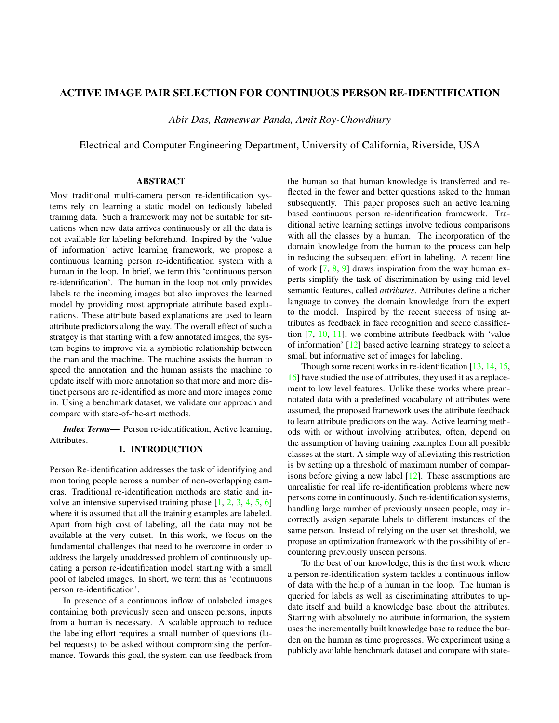# <span id="page-0-0"></span>ACTIVE IMAGE PAIR SELECTION FOR CONTINUOUS PERSON RE-IDENTIFICATION

*Abir Das, Rameswar Panda, Amit Roy-Chowdhury*

Electrical and Computer Engineering Department, University of California, Riverside, USA

### ABSTRACT

Most traditional multi-camera person re-identification systems rely on learning a static model on tediously labeled training data. Such a framework may not be suitable for situations when new data arrives continuously or all the data is not available for labeling beforehand. Inspired by the 'value of information' active learning framework, we propose a continuous learning person re-identification system with a human in the loop. In brief, we term this 'continuous person re-identification'. The human in the loop not only provides labels to the incoming images but also improves the learned model by providing most appropriate attribute based explanations. These attribute based explanations are used to learn attribute predictors along the way. The overall effect of such a stratgey is that starting with a few annotated images, the system begins to improve via a symbiotic relationship between the man and the machine. The machine assists the human to speed the annotation and the human assists the machine to update itself with more annotation so that more and more distinct persons are re-identified as more and more images come in. Using a benchmark dataset, we validate our approach and compare with state-of-the-art methods.

*Index Terms*— Person re-identification, Active learning, Attributes.

## 1. INTRODUCTION

Person Re-identification addresses the task of identifying and monitoring people across a number of non-overlapping cameras. Traditional re-identification methods are static and involve an intensive supervised training phase [\[1,](#page-4-0) [2,](#page-4-1) [3,](#page-4-2) [4,](#page-4-3) [5,](#page-4-4) [6\]](#page-4-5) where it is assumed that all the training examples are labeled. Apart from high cost of labeling, all the data may not be available at the very outset. In this work, we focus on the fundamental challenges that need to be overcome in order to address the largely unaddressed problem of continuously updating a person re-identification model starting with a small pool of labeled images. In short, we term this as 'continuous person re-identification'.

In presence of a continuous inflow of unlabeled images containing both previously seen and unseen persons, inputs from a human is necessary. A scalable approach to reduce the labeling effort requires a small number of questions (label requests) to be asked without compromising the performance. Towards this goal, the system can use feedback from the human so that human knowledge is transferred and reflected in the fewer and better questions asked to the human subsequently. This paper proposes such an active learning based continuous person re-identification framework. Traditional active learning settings involve tedious comparisons with all the classes by a human. The incorporation of the domain knowledge from the human to the process can help in reducing the subsequent effort in labeling. A recent line of work [\[7,](#page-4-6) [8,](#page-4-7) [9\]](#page-4-8) draws inspiration from the way human experts simplify the task of discrimination by using mid level semantic features, called *attributes*. Attributes define a richer language to convey the domain knowledge from the expert to the model. Inspired by the recent success of using attributes as feedback in face recognition and scene classification [\[7,](#page-4-6) [10,](#page-4-9) [11\]](#page-4-10), we combine attribute feedback with 'value of information' [\[12\]](#page-4-11) based active learning strategy to select a small but informative set of images for labeling.

Though some recent works in re-identification [\[13,](#page-4-12) [14,](#page-4-13) [15,](#page-4-14) [16\]](#page-4-15) have studied the use of attributes, they used it as a replacement to low level features. Unlike these works where preannotated data with a predefined vocabulary of attributes were assumed, the proposed framework uses the attribute feedback to learn attribute predictors on the way. Active learning methods with or without involving attributes, often, depend on the assumption of having training examples from all possible classes at the start. A simple way of alleviating this restriction is by setting up a threshold of maximum number of comparisons before giving a new label [\[12\]](#page-4-11). These assumptions are unrealistic for real life re-identification problems where new persons come in continuously. Such re-identification systems, handling large number of previously unseen people, may incorrectly assign separate labels to different instances of the same person. Instead of relying on the user set threshold, we propose an optimization framework with the possibility of encountering previously unseen persons.

To the best of our knowledge, this is the first work where a person re-identification system tackles a continuous inflow of data with the help of a human in the loop. The human is queried for labels as well as discriminating attributes to update itself and build a knowledge base about the attributes. Starting with absolutely no attribute information, the system uses the incrementally built knowledge base to reduce the burden on the human as time progresses. We experiment using a publicly available benchmark dataset and compare with state-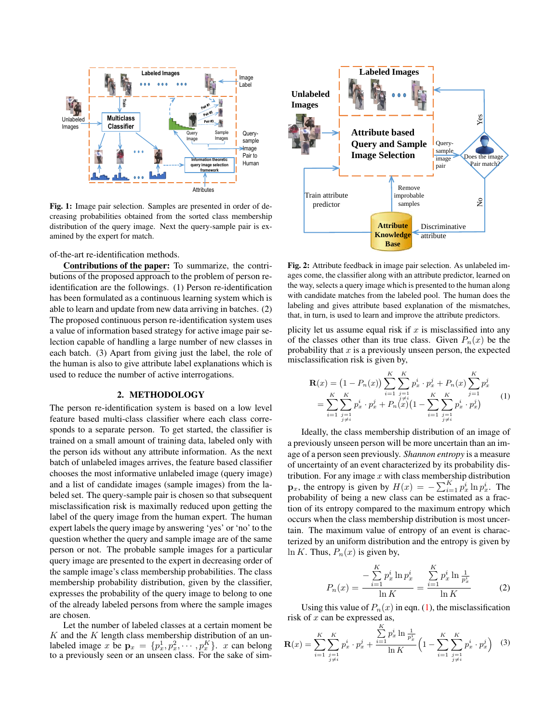<span id="page-1-1"></span>

Fig. 1: Image pair selection. Samples are presented in order of decreasing probabilities obtained from the sorted class membership distribution of the query image. Next the query-sample pair is examined by the expert for match.

of-the-art re-identification methods.

Contributions of the paper: To summarize, the contributions of the proposed approach to the problem of person reidentification are the followings. (1) Person re-identification has been formulated as a continuous learning system which is able to learn and update from new data arriving in batches. (2) The proposed continuous person re-identification system uses a value of information based strategy for active image pair selection capable of handling a large number of new classes in each batch. (3) Apart from giving just the label, the role of the human is also to give attribute label explanations which is used to reduce the number of active interrogations.

### 2. METHODOLOGY

The person re-identification system is based on a low level feature based multi-class classifier where each class corresponds to a separate person. To get started, the classifier is trained on a small amount of training data, labeled only with the person ids without any attribute information. As the next batch of unlabeled images arrives, the feature based classifier chooses the most informative unlabeled image (query image) and a list of candidate images (sample images) from the labeled set. The query-sample pair is chosen so that subsequent misclassification risk is maximally reduced upon getting the label of the query image from the human expert. The human expert labels the query image by answering 'yes' or 'no' to the question whether the query and sample image are of the same person or not. The probable sample images for a particular query image are presented to the expert in decreasing order of the sample image's class membership probabilities. The class membership probability distribution, given by the classifier, expresses the probability of the query image to belong to one of the already labeled persons from where the sample images are chosen.

Let the number of labeled classes at a certain moment be  $K$  and the  $K$  length class membership distribution of an unlabeled image x be  $\mathbf{p}_x = \{p_x^1, p_x^2, \cdots, p_x^K\}$ . x can belong to a previously seen or an unseen class. For the sake of sim-

<span id="page-1-2"></span>

Fig. 2: Attribute feedback in image pair selection. As unlabeled images come, the classifier along with an attribute predictor, learned on the way, selects a query image which is presented to the human along with candidate matches from the labeled pool. The human does the labeling and gives attribute based explanation of the mismatches, that, in turn, is used to learn and improve the attribute predictors.

plicity let us assume equal risk if  $x$  is misclassified into any of the classes other than its true class. Given  $P_n(x)$  be the probability that  $x$  is a previously unseen person, the expected misclassification risk is given by,

<span id="page-1-0"></span>
$$
\mathbf{R}(x) = (1 - P_n(x)) \sum_{i=1}^{K} \sum_{\substack{j=1 \ j \neq i}}^{K} p_x^i \cdot p_x^j + P_n(x) \sum_{j=1}^{K} p_x^j
$$
  
= 
$$
\sum_{i=1}^{K} \sum_{\substack{j=1 \ j \neq i}}^{K} p_x^i \cdot p_x^j + P_n(x) (1 - \sum_{i=1}^{K} \sum_{\substack{j=1 \ j \neq i}}^{K} p_x^i \cdot p_x^j)
$$
 (1)

Ideally, the class membership distribution of an image of a previously unseen person will be more uncertain than an image of a person seen previously. *Shannon entropy* is a measure of uncertainty of an event characterized by its probability distribution. For any image  $x$  with class membership distribution  $\mathbf{p}_x$ , the entropy is given by  $H(x) = -\sum_{i=1}^K p_x^i \ln p_x^i$ . The probability of being a new class can be estimated as a fraction of its entropy compared to the maximum entropy which occurs when the class membership distribution is most uncertain. The maximum value of entropy of an event is characterized by an uniform distribution and the entropy is given by ln K. Thus,  $P_n(x)$  is given by,

$$
P_n(x) = \frac{-\sum_{i=1}^K p_x^i \ln p_x^i}{\ln K} = \frac{\sum_{i=1}^K p_x^i \ln \frac{1}{p_x^i}}{\ln K}
$$
 (2)

Using this value of  $P_n(x)$  in eqn. [\(1\)](#page-1-0), the misclassification risk of  $x$  can be expressed as,

$$
\mathbf{R}(x) = \sum_{i=1}^{K} \sum_{\substack{j=1 \ j \neq i}}^{K} p_x^i \cdot p_x^j + \frac{\sum_{i=1}^{K} p_x^i \ln \frac{1}{p_x^i}}{\ln K} \left( 1 - \sum_{i=1}^{K} \sum_{\substack{j=1 \ j \neq i}}^{K} p_x^i \cdot p_x^j \right) \tag{3}
$$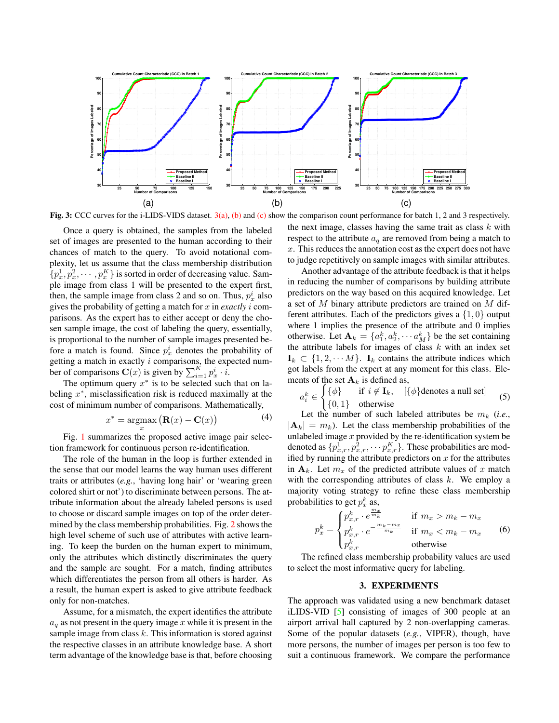<span id="page-2-3"></span><span id="page-2-0"></span>

Fig. 3: CCC curves for the i-LIDS-VIDS dataset. [3\(a\),](#page-2-0) [\(b\)](#page-2-1) and [\(c\)](#page-2-2) show the comparison count performance for batch 1, 2 and 3 respectively.

Once a query is obtained, the samples from the labeled set of images are presented to the human according to their chances of match to the query. To avoid notational complexity, let us assume that the class membership distribution  $\{p_x^1, p_x^2, \cdots, p_x^K\}$  is sorted in order of decreasing value. Sample image from class 1 will be presented to the expert first, then, the sample image from class 2 and so on. Thus,  $p_x^i$  also gives the probability of getting a match for x in *exactly* i comparisons. As the expert has to either accept or deny the chosen sample image, the cost of labeling the query, essentially, is proportional to the number of sample images presented before a match is found. Since  $p_x^i$  denotes the probability of getting a match in exactly  $i$  comparisons, the expected number of comparisons  $\mathbf{C}(x)$  is given by  $\sum_{i=1}^{K} p_x^i \cdot \hat{i}$ .

The optimum query  $x^*$  is to be selected such that on labeling  $x^*$ , misclassification risk is reduced maximally at the cost of minimum number of comparisons. Mathematically,

$$
x^* = \underset{x}{\operatorname{argmax}} \left( \mathbf{R}(x) - \mathbf{C}(x) \right) \tag{4}
$$

Fig. [1](#page-1-1) summarizes the proposed active image pair selection framework for continuous person re-identification.

The role of the human in the loop is further extended in the sense that our model learns the way human uses different traits or attributes (*e.g.*, 'having long hair' or 'wearing green colored shirt or not') to discriminate between persons. The attribute information about the already labeled persons is used to choose or discard sample images on top of the order determined by the class membership probabilities. Fig. [2](#page-1-2) shows the high level scheme of such use of attributes with active learning. To keep the burden on the human expert to minimum, only the attributes which distinctly discriminates the query and the sample are sought. For a match, finding attributes which differentiates the person from all others is harder. As a result, the human expert is asked to give attribute feedback only for non-matches.

Assume, for a mismatch, the expert identifies the attribute  $a_q$  as not present in the query image x while it is present in the sample image from class  $k$ . This information is stored against the respective classes in an attribute knowledge base. A short term advantage of the knowledge base is that, before choosing

<span id="page-2-2"></span><span id="page-2-1"></span>the next image, classes having the same trait as class  $k$  with respect to the attribute  $a_q$  are removed from being a match to x. This reduces the annotation cost as the expert does not have to judge repetitively on sample images with similar attributes.

Another advantage of the attribute feedback is that it helps in reducing the number of comparisons by building attribute predictors on the way based on this acquired knowledge. Let a set of M binary attribute predictors are trained on M different attributes. Each of the predictors gives a  $\{1,0\}$  output where 1 implies the presence of the attribute and 0 implies otherwise. Let  $\mathbf{A}_k = \{a_1^k, a_2^k, \cdots a_M^k\}$  be the set containing the attribute labels for images of class  $k$  with an index set  $\mathbf{I}_k \subset \{1, 2, \cdots M\}$ .  $\mathbf{I}_k$  contains the attribute indices which got labels from the expert at any moment for this class. Elements of the set  $A_k$  is defined as,

$$
a_i^k \in \begin{cases} {\phi} & \text{if } i \notin \mathbf{I}_k, \\ {0,1} & \text{otherwise} \end{cases} \quad {\phi} \text{ denotes a null set} \tag{5}
$$

Let the number of such labeled attributes be  $m_k$  (*i.e.*,  $|{\bf A}_k| = m_k$ ). Let the class membership probabilities of the unlabeled image  $x$  provided by the re-identification system be denoted as  $\{p_{x,r}^1, p_{x,r}^2, \cdots p_{x,r}^K\}$ . These probabilities are modified by running the attribute predictors on  $x$  for the attributes in  $A_k$ . Let  $m_x$  of the predicted attribute values of x match with the corresponding attributes of class  $k$ . We employ a majority voting strategy to refine these class membership probabilities to get  $p_x^k$  as,

$$
p_x^k = \begin{cases} p_{x,r}^k \cdot e^{\frac{m_x}{m_k}} & \text{if } m_x > m_k - m_x \\ p_{x,r}^k \cdot e^{-\frac{m_k - m_x}{m_k}} & \text{if } m_x < m_k - m_x \\ p_{x,r}^k & \text{otherwise} \end{cases} \tag{6}
$$

The refined class membership probability values are used to select the most informative query for labeling.

### 3. EXPERIMENTS

The approach was validated using a new benchmark dataset iLIDS-VID [\[5\]](#page-4-4) consisting of images of 300 people at an airport arrival hall captured by 2 non-overlapping cameras. Some of the popular datasets (*e.g.*, VIPER), though, have more persons, the number of images per person is too few to suit a continuous framework. We compare the performance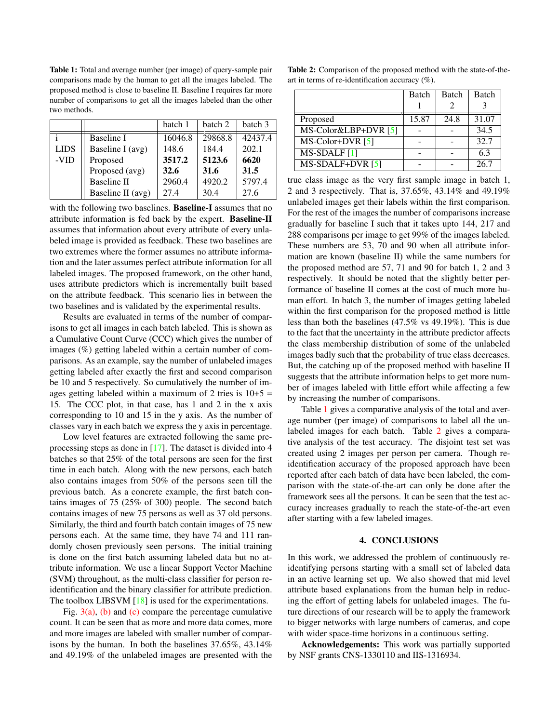<span id="page-3-2"></span><span id="page-3-0"></span>Table 1: Total and average number (per image) of query-sample pair comparisons made by the human to get all the images labeled. The proposed method is close to baseline II. Baseline I requires far more number of comparisons to get all the images labeled than the other two methods.

|             |                    | batch 1 | batch 2 | batch 3 |
|-------------|--------------------|---------|---------|---------|
|             | <b>Baseline I</b>  | 16046.8 | 29868.8 | 42437.4 |
| <b>LIDS</b> | Baseline I (avg)   | 148.6   | 184.4   | 202.1   |
| -VID        | Proposed           | 3517.2  | 5123.6  | 6620    |
|             | Proposed (avg)     | 32.6    | 31.6    | 31.5    |
|             | <b>Baseline II</b> | 2960.4  | 4920.2  | 5797.4  |
|             | Baseline II (avg)  | 27.4    | 30.4    | 27.6    |

with the following two baselines. **Baseline-I** assumes that no attribute information is fed back by the expert. Baseline-II assumes that information about every attribute of every unlabeled image is provided as feedback. These two baselines are two extremes where the former assumes no attribute information and the later assumes perfect attribute information for all labeled images. The proposed framework, on the other hand, uses attribute predictors which is incrementally built based on the attribute feedback. This scenario lies in between the two baselines and is validated by the experimental results.

Results are evaluated in terms of the number of comparisons to get all images in each batch labeled. This is shown as a Cumulative Count Curve (CCC) which gives the number of images (%) getting labeled within a certain number of comparisons. As an example, say the number of unlabeled images getting labeled after exactly the first and second comparison be 10 and 5 respectively. So cumulatively the number of images getting labeled within a maximum of 2 tries is  $10+5 =$ 15. The CCC plot, in that case, has 1 and 2 in the x axis corresponding to 10 and 15 in the y axis. As the number of classes vary in each batch we express the y axis in percentage.

Low level features are extracted following the same preprocessing steps as done in [\[17\]](#page-4-16). The dataset is divided into 4 batches so that 25% of the total persons are seen for the first time in each batch. Along with the new persons, each batch also contains images from 50% of the persons seen till the previous batch. As a concrete example, the first batch contains images of 75 (25% of 300) people. The second batch contains images of new 75 persons as well as 37 old persons. Similarly, the third and fourth batch contain images of 75 new persons each. At the same time, they have 74 and 111 randomly chosen previously seen persons. The initial training is done on the first batch assuming labeled data but no attribute information. We use a linear Support Vector Machine (SVM) throughout, as the multi-class classifier for person reidentification and the binary classifier for attribute prediction. The toolbox LIBSVM [\[18\]](#page-4-17) is used for the experimentations.

Fig.  $3(a)$ , [\(b\)](#page-2-1) and [\(c\)](#page-2-2) compare the percentage cumulative count. It can be seen that as more and more data comes, more and more images are labeled with smaller number of comparisons by the human. In both the baselines 37.65%, 43.14% and 49.19% of the unlabeled images are presented with the

<span id="page-3-1"></span>Table 2: Comparison of the proposed method with the state-of-theart in terms of re-identification accuracy (%).

|                                  | Batch | Batch | <b>Batch</b> |
|----------------------------------|-------|-------|--------------|
|                                  |       |       |              |
| Proposed                         | 15.87 | 24.8  | 31.07        |
| MS-Color&LBP+DVR [5]             |       |       | 34.5         |
| $MS\text{-}\text{Color+}DVR$ [5] |       |       | 32.7         |
| $MS-SDALF[1]$                    |       |       | 6.3          |
| $MS-SDALF+DVR[5]$                |       |       | 26.7         |

true class image as the very first sample image in batch 1, 2 and 3 respectively. That is, 37.65%, 43.14% and 49.19% unlabeled images get their labels within the first comparison. For the rest of the images the number of comparisons increase gradually for baseline I such that it takes upto 144, 217 and 288 comparisons per image to get 99% of the images labeled. These numbers are 53, 70 and 90 when all attribute information are known (baseline II) while the same numbers for the proposed method are 57, 71 and 90 for batch 1, 2 and 3 respectively. It should be noted that the slightly better performance of baseline II comes at the cost of much more human effort. In batch 3, the number of images getting labeled within the first comparison for the proposed method is little less than both the baselines (47.5% vs 49.19%). This is due to the fact that the uncertainty in the attribute predictor affects the class membership distribution of some of the unlabeled images badly such that the probability of true class decreases. But, the catching up of the proposed method with baseline II suggests that the attribute information helps to get more number of images labeled with little effort while affecting a few by increasing the number of comparisons.

Table [1](#page-3-0) gives a comparative analysis of the total and average number (per image) of comparisons to label all the unlabeled images for each batch. Table [2](#page-3-1) gives a comparative analysis of the test accuracy. The disjoint test set was created using 2 images per person per camera. Though reidentification accuracy of the proposed approach have been reported after each batch of data have been labeled, the comparison with the state-of-the-art can only be done after the framework sees all the persons. It can be seen that the test accuracy increases gradually to reach the state-of-the-art even after starting with a few labeled images.

### 4. CONCLUSIONS

In this work, we addressed the problem of continuously reidentifying persons starting with a small set of labeled data in an active learning set up. We also showed that mid level attribute based explanations from the human help in reducing the effort of getting labels for unlabeled images. The future directions of our research will be to apply the framework to bigger networks with large numbers of cameras, and cope with wider space-time horizons in a continuous setting.

Acknowledgements: This work was partially supported by NSF grants CNS-1330110 and IIS-1316934.